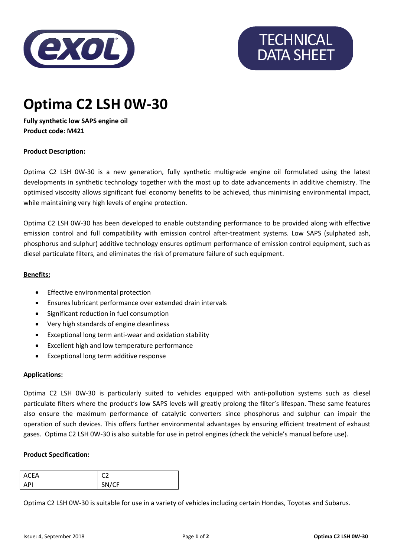

# **Optima C2 LSH 0W-30**

**Fully synthetic low SAPS engine oil Product code: M421** 

## **Product Description:**

Optima C2 LSH 0W-30 is a new generation, fully synthetic multigrade engine oil formulated using the latest developments in synthetic technology together with the most up to date advancements in additive chemistry. The optimised viscosity allows significant fuel economy benefits to be achieved, thus minimising environmental impact, while maintaining very high levels of engine protection.

Optima C2 LSH 0W-30 has been developed to enable outstanding performance to be provided along with effective emission control and full compatibility with emission control after-treatment systems. Low SAPS (sulphated ash, phosphorus and sulphur) additive technology ensures optimum performance of emission control equipment, such as diesel particulate filters, and eliminates the risk of premature failure of such equipment.

#### **Benefits:**

- Effective environmental protection
- Ensures lubricant performance over extended drain intervals
- Significant reduction in fuel consumption
- Very high standards of engine cleanliness
- Exceptional long term anti-wear and oxidation stability
- Excellent high and low temperature performance
- Exceptional long term additive response

#### **Applications:**

Optima C2 LSH 0W-30 is particularly suited to vehicles equipped with anti-pollution systems such as diesel particulate filters where the product's low SAPS levels will greatly prolong the filter's lifespan. These same features also ensure the maximum performance of catalytic converters since phosphorus and sulphur can impair the operation of such devices. This offers further environmental advantages by ensuring efficient treatment of exhaust gases. Optima C2 LSH 0W-30 is also suitable for use in petrol engines (check the vehicle's manual before use).

#### **Product Specification:**

| <b>ACEA</b> | $\tilde{\phantom{a}}$<br>- - |
|-------------|------------------------------|
| ΔPI         | SN/CF<br>- 71 17<br>֊        |

Optima C2 LSH 0W-30 is suitable for use in a variety of vehicles including certain Hondas, Toyotas and Subarus.